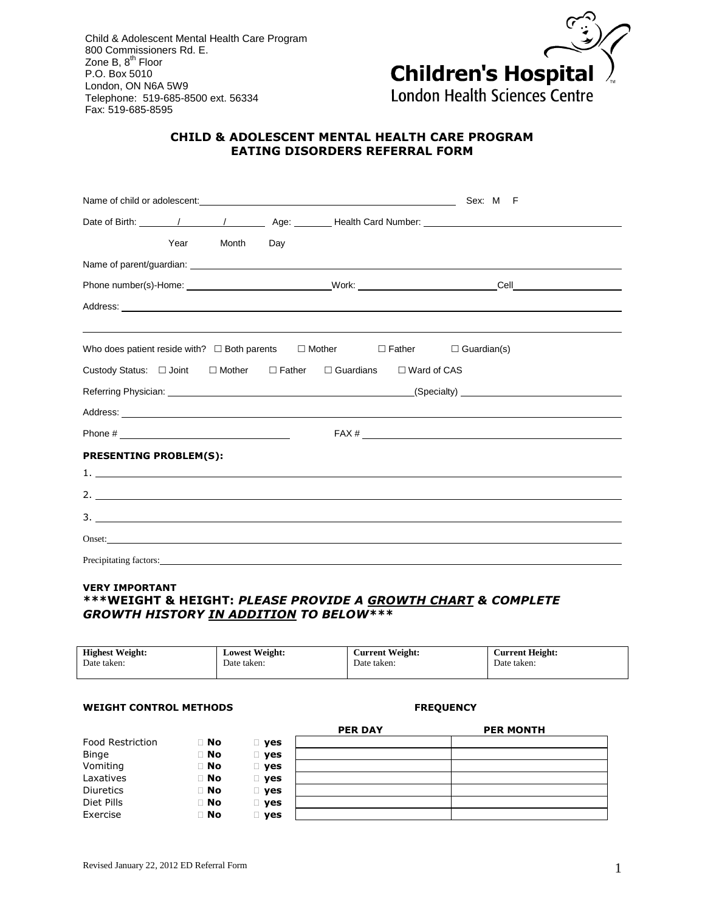Child & Adolescent Mental Health Care Program 800 Commissioners Rd. E. Zone B, 8<sup>th</sup> Floor P.O. Box 5010 London, ON N6A 5W9 Telephone: 519-685-8500 ext. 56334 Fax: 519-685-8595



# **CHILD & ADOLESCENT MENTAL HEALTH CARE PROGRAM EATING DISORDERS REFERRAL FORM**

|                                                                                                                                                                                                                                      |           |                                |                    | Sex: M F           |                                                                                                                                                                                                                                |
|--------------------------------------------------------------------------------------------------------------------------------------------------------------------------------------------------------------------------------------|-----------|--------------------------------|--------------------|--------------------|--------------------------------------------------------------------------------------------------------------------------------------------------------------------------------------------------------------------------------|
| Date of Birth: _______/ _______/ __________ Age: ________ Health Card Number: ________________________________                                                                                                                       |           |                                |                    |                    |                                                                                                                                                                                                                                |
| Year                                                                                                                                                                                                                                 | Month Day |                                |                    |                    |                                                                                                                                                                                                                                |
|                                                                                                                                                                                                                                      |           |                                |                    |                    |                                                                                                                                                                                                                                |
|                                                                                                                                                                                                                                      |           |                                |                    |                    |                                                                                                                                                                                                                                |
| Address: Note and the contract of the contract of the contract of the contract of the contract of the contract of the contract of the contract of the contract of the contract of the contract of the contract of the contract       |           |                                |                    |                    |                                                                                                                                                                                                                                |
| Who does patient reside with? $\square$ Both parents $\square$ Mother $\square$ Father                                                                                                                                               |           |                                |                    | $\Box$ Guardian(s) |                                                                                                                                                                                                                                |
| Custody Status: □ Joint □ Mother                                                                                                                                                                                                     |           | $\Box$ Father $\Box$ Guardians | $\Box$ Ward of CAS |                    |                                                                                                                                                                                                                                |
|                                                                                                                                                                                                                                      |           |                                |                    |                    | (Specialty) and the contract of the contract of the contract of the contract of the contract of the contract of the contract of the contract of the contract of the contract of the contract of the contract of the contract o |
| Address: <u>New York: Address: New York: New York: New York: New York: New York: New York: New York: New York: New York: New York: New York: New York: New York: New York: New York: New York: New York: New York: New York: New</u> |           |                                |                    |                    |                                                                                                                                                                                                                                |
|                                                                                                                                                                                                                                      |           |                                |                    |                    |                                                                                                                                                                                                                                |
| <b>PRESENTING PROBLEM(S):</b>                                                                                                                                                                                                        |           |                                |                    |                    |                                                                                                                                                                                                                                |
|                                                                                                                                                                                                                                      |           |                                |                    |                    |                                                                                                                                                                                                                                |
| 2.                                                                                                                                                                                                                                   |           |                                |                    |                    |                                                                                                                                                                                                                                |
| $\frac{1}{2}$                                                                                                                                                                                                                        |           |                                |                    |                    |                                                                                                                                                                                                                                |
|                                                                                                                                                                                                                                      |           |                                |                    |                    |                                                                                                                                                                                                                                |
|                                                                                                                                                                                                                                      |           |                                |                    |                    |                                                                                                                                                                                                                                |

## **VERY IMPORTANT \*\*\*WEIGHT & HEIGHT:** *PLEASE PROVIDE A GROWTH CHART & COMPLETE GROWTH HISTORY IN ADDITION TO BELOW\*\*\**

| <b>Highest Weight:</b> | <b>Lowest Weight:</b> | <b>Current Weight:</b> | <b>Current Height:</b> |
|------------------------|-----------------------|------------------------|------------------------|
| Date taken:            | Date taken:           | Date taken:            | Date taken:            |
|                        |                       |                        |                        |

## **WEIGHT CONTROL METHODS FREQUENCY**

|                         |           |               | <b>PER DAY</b> | <b>PER MONTH</b> |
|-------------------------|-----------|---------------|----------------|------------------|
| <b>Food Restriction</b> | $\Box$ No | $\square$ yes |                |                  |
| <b>Binge</b>            | $\Box$ No | $\square$ yes |                |                  |
| Vomiting                | $\Box$ No | $\square$ yes |                |                  |
| Laxatives               | $\Box$ No | $\square$ yes |                |                  |
| <b>Diuretics</b>        | $\Box$ No | $\square$ yes |                |                  |
| Diet Pills              | $\Box$ No | $\square$ yes |                |                  |
| Exercise                | $\Box$ No | ⊥ yes         |                |                  |